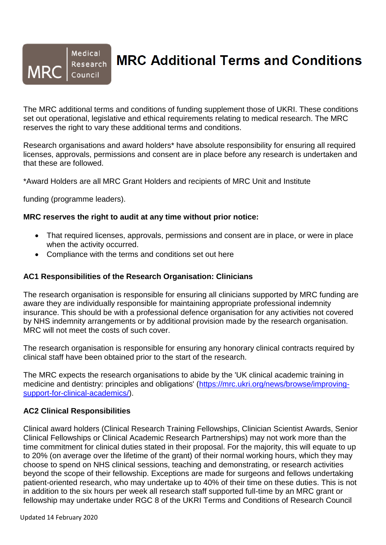#### Medical Research **MRC** Council

# **MRC Additional Terms and Conditions**

The MRC additional terms and conditions of funding supplement those of UKRI. These conditions set out operational, legislative and ethical requirements relating to medical research. The MRC reserves the right to vary these additional terms and conditions.

Research organisations and award holders\* have absolute responsibility for ensuring all required licenses, approvals, permissions and consent are in place before any research is undertaken and that these are followed.

\*Award Holders are all MRC Grant Holders and recipients of MRC Unit and Institute

funding (programme leaders).

#### **MRC reserves the right to audit at any time without prior notice:**

- That required licenses, approvals, permissions and consent are in place, or were in place when the activity occurred.
- Compliance with the terms and conditions set out here

#### **AC1 Responsibilities of the Research Organisation: Clinicians**

The research organisation is responsible for ensuring all clinicians supported by MRC funding are aware they are individually responsible for maintaining appropriate professional indemnity insurance. This should be with a professional defence organisation for any activities not covered by NHS indemnity arrangements or by additional provision made by the research organisation. MRC will not meet the costs of such cover.

The research organisation is responsible for ensuring any honorary clinical contracts required by clinical staff have been obtained prior to the start of the research.

The MRC expects the research organisations to abide by the 'UK clinical academic training in medicine and dentistry: principles and obligations' [\(https://mrc.ukri.org/news/browse/improving](https://mrc.ukri.org/news/browse/improving-support-for-clinical-academics/)[support-for-clinical-academics/\)](https://mrc.ukri.org/news/browse/improving-support-for-clinical-academics/).

#### **AC2 Clinical Responsibilities**

Clinical award holders (Clinical Research Training Fellowships, Clinician Scientist Awards, Senior Clinical Fellowships or Clinical Academic Research Partnerships) may not work more than the time commitment for clinical duties stated in their proposal. For the majority, this will equate to up to 20% (on average over the lifetime of the grant) of their normal working hours, which they may choose to spend on NHS clinical sessions, teaching and demonstrating, or research activities beyond the scope of their fellowship. Exceptions are made for surgeons and fellows undertaking patient-oriented research, who may undertake up to 40% of their time on these duties. This is not in addition to the six hours per week all research staff supported full-time by an MRC grant or fellowship may undertake under RGC 8 of the UKRI Terms and Conditions of Research Council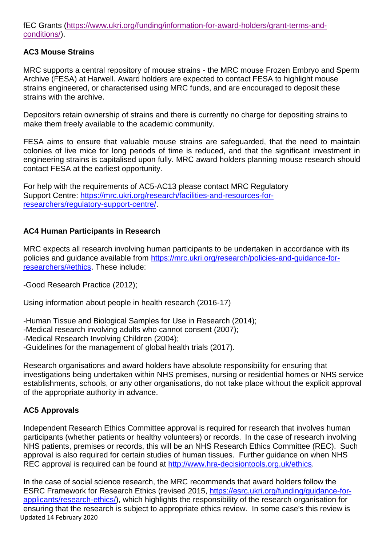fEC Grants [\(https://www.ukri.org/funding/information-for-award-holders/grant-terms-and](https://www.ukri.org/funding/information-for-award-holders/grant-terms-and-conditions/)[conditions/\)](https://www.ukri.org/funding/information-for-award-holders/grant-terms-and-conditions/).

## **AC3 Mouse Strains**

MRC supports a central repository of mouse strains - the MRC mouse Frozen Embryo and Sperm Archive (FESA) at Harwell. Award holders are expected to contact FESA to highlight mouse strains engineered, or characterised using MRC funds, and are encouraged to deposit these strains with the archive.

Depositors retain ownership of strains and there is currently no charge for depositing strains to make them freely available to the academic community.

FESA aims to ensure that valuable mouse strains are safeguarded, that the need to maintain colonies of live mice for long periods of time is reduced, and that the significant investment in engineering strains is capitalised upon fully. MRC award holders planning mouse research should contact FESA at the earliest opportunity.

For help with the requirements of AC5-AC13 please contact MRC Regulatory Support Centre: [https://mrc.ukri.org/research/facilities-and-resources-for](https://mrc.ukri.org/research/facilities-and-resources-for-researchers/regulatory-support-centre/)[researchers/regulatory-support-centre/.](https://mrc.ukri.org/research/facilities-and-resources-for-researchers/regulatory-support-centre/)

## **AC4 Human Participants in Research**

MRC expects all research involving human participants to be undertaken in accordance with its policies and guidance available from [https://mrc.ukri.org/research/policies-and-guidance-for](https://mrc.ukri.org/research/policies-and-guidance-for-researchers/#ethics)[researchers/#ethics.](https://mrc.ukri.org/research/policies-and-guidance-for-researchers/#ethics) These include:

-Good Research Practice (2012);

Using information about people in health research (2016-17)

-Human Tissue and Biological Samples for Use in Research (2014);

-Medical research involving adults who cannot consent (2007);

-Medical Research Involving Children (2004);

-Guidelines for the management of global health trials (2017).

Research organisations and award holders have absolute responsibility for ensuring that investigations being undertaken within NHS premises, nursing or residential homes or NHS service establishments, schools, or any other organisations, do not take place without the explicit approval of the appropriate authority in advance.

## **AC5 Approvals**

Independent Research Ethics Committee approval is required for research that involves human participants (whether patients or healthy volunteers) or records. In the case of research involving NHS patients, premises or records, this will be an NHS Research Ethics Committee (REC). Such approval is also required for certain studies of human tissues. Further guidance on when NH[S](http://www.hra-decisiontools.org.uk/ethics/)) [REC approval is required can be found at](http://www.hra-decisiontools.org.uk/ethics/)) [http://www.hra-decisiontools.org.uk/ethics.](http://www.hra-decisiontools.org.uk/ethics)

Updated 14 February 2020 In the case of social science research, the MRC recommends that award holders follow the ESRC Framework for Research Ethics (revised 2015, [https://esrc.ukri.org/funding/guidance-for](https://esrc.ukri.org/funding/guidance-for-applicants/research-ethics/)[applicants/research-ethics/\)](https://esrc.ukri.org/funding/guidance-for-applicants/research-ethics/), which highlights the responsibility of the research organisation for ensuring that the research is subject to appropriate ethics review. In some case's this review is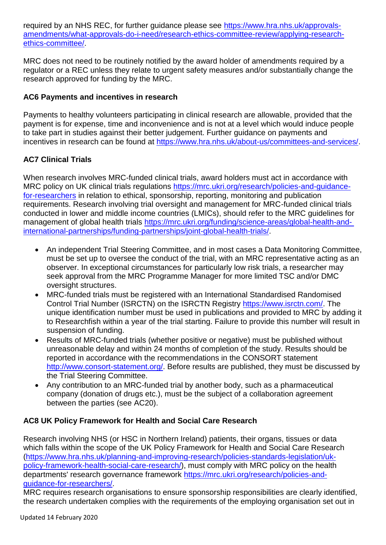required [by an NHS REC, for further guidance please see](http://www.hra.nhs.uk/approvals-amendments/what-approvals-do-i-) [https://www.hra.nhs.uk/approvals](https://www.hra.nhs.uk/approvals-amendments/what-approvals-do-i-need/research-ethics-committee-review/applying-research-ethics-committee/)[amendments/what-approvals-do-i-need/research-ethics-committee-review/applying-research](https://www.hra.nhs.uk/approvals-amendments/what-approvals-do-i-need/research-ethics-committee-review/applying-research-ethics-committee/)[ethics-committee/.](https://www.hra.nhs.uk/approvals-amendments/what-approvals-do-i-need/research-ethics-committee-review/applying-research-ethics-committee/)

MRC does not need to be routinely notified by the award holder of amendments required by a regulator or a REC unless they relate to urgent safety measures and/or substantially change the research approved for funding by the MRC.

## **AC6 Payments and incentives in research**

Payments to healthy volunteers participating in clinical research are allowable, provided that the payment is for expense, time and inconvenience and is not at a level which would induce people to take part in studies against their better judgement. Further [guidance on payments and](http://www.hra.nhs.uk/about-us/committees-and-)  [incentives in research can be found at](http://www.hra.nhs.uk/about-us/committees-and-) [https://www.hra.nhs.uk/about-us/committees-and-services/.](https://www.hra.nhs.uk/about-us/committees-and-services/)

# **AC7 Clinical Trials**

When research involves MRC-funded clinical trials, award holders must act in accordance with MRC policy on UK clinical trials regulations [https://mrc.ukri.org/research/policies-and-guidance](https://mrc.ukri.org/research/policies-and-guidance-for-researchers)[for-researchers](https://mrc.ukri.org/research/policies-and-guidance-for-researchers) in relation to ethical, sponsorship, reporting, monitoring and publication requirements. Research involving trial oversight and management for MRC-funded clinical trials conducted in lower and middle income countries (LMICs), should refer to the MRC guidelines for management of global health trials [https://mrc.ukri.org/funding/science-areas/global-health-and](https://mrc.ukri.org/funding/science-areas/global-health-and-%20international-partnerships/funding-partnerships/joint-global-health-trials/)[international-partnerships/funding-partnerships/joint-global-health-trials/.](https://mrc.ukri.org/funding/science-areas/global-health-and-%20international-partnerships/funding-partnerships/joint-global-health-trials/)

- An independent Trial Steering Committee, and in most cases a Data Monitoring Committee, must be set up to oversee the conduct of the trial, with an MRC representative acting as an observer. In exceptional circumstances for particularly low risk trials, a researcher may seek approval from the MRC Programme Manager for more limited TSC and/or DMC oversight structures.
- MRC-funded trials must be registered with an International Standardised Randomised Control Trial Number (ISRCTN) on the ISRCTN Registry [https://www.isrctn.com/.](https://www.isrctn.com/) The unique identification number must be used in publications and provided to MRC by adding it to Researchfish within a year of the trial starting. Failure to provide this number will result in suspension of funding.
- Results of MRC-funded trials (whether positive or negative) must be published without unreasonable delay and within 24 months of completion of the study. Results should be reported in accordance with the recommendations in the CONSORT statement [http://www.consort-statement.org/.](http://www.consort-statement.org/) Before results are published, they must be discussed by the Trial Steering Committee.
- Any contribution to an MRC-funded trial by another body, such as a pharmaceutical company (donation of drugs etc.), must be the subject of a collaboration agreement between the parties (see AC20).

## **AC8 UK Policy Framework for Health and Social Care Research**

Research involving NHS (or HSC in Northern Ireland) patients, their organs, tissues or data which falls within the scope of the UK [Policy Framework for Health and Social Care Research](http://www.hra.nhs.uk/planning-and-improving-research/policies-) [\(https://www.hra.nhs.uk/planning-and-improving-research/policies-standards-legislation/uk](https://www.hra.nhs.uk/planning-and-improving-research/policies-standards-legislation/uk-policy-framework-health-social-care-research/)[policy-framework-health-social-care-research/\)](https://www.hra.nhs.uk/planning-and-improving-research/policies-standards-legislation/uk-policy-framework-health-social-care-research/), must comply with MRC policy on the health departments' research governance framework [https://mrc.ukri.org/research/policies-and](https://mrc.ukri.org/research/policies-and-guidance-for-researchers/)[guidance-for-researchers/.](https://mrc.ukri.org/research/policies-and-guidance-for-researchers/)

MRC requires research organisations to ensure sponsorship responsibilities are clearly identified, the research undertaken complies with the requirements of the employing organisation set out in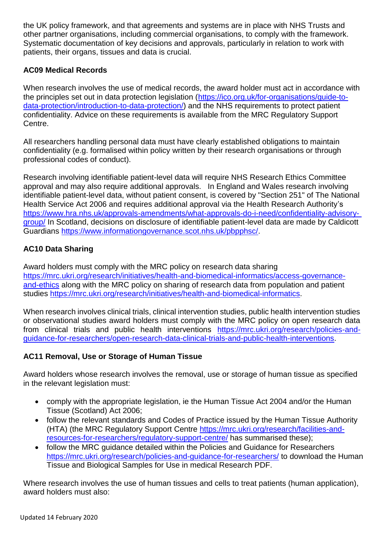the UK policy framework, and that agreements and systems are in place with NHS Trusts and other partner organisations, including commercial organisations, to comply with the framework. Systematic documentation of key decisions and approvals, particularly in relation to work with patients, their organs, tissues and data is crucial.

## **AC09 Medical Records**

When research involves the use of medical records, the award holder must act in accordance with the principles set out in data protection legislation [\(https://ico.org.uk/for-organisations/guide-to](https://ico.org.uk/for-organisations/guide-to-data-protection/introduction-to-data-protection/)[data-protection/introduction-to-data-protection/\)](https://ico.org.uk/for-organisations/guide-to-data-protection/introduction-to-data-protection/) and the NHS requirements to protect patient confidentiality. Advice on these requirements is available from the MRC Regulatory Support Centre.

All researchers handling personal data must have clearly established obligations to maintain confidentiality (e.g. formalised within policy written by their research organisations or through professional codes of conduct).

Research involving identifiable patient-level data will require NHS Research Ethics Committee approval and may also require additional approvals. In England and Wales research involving identifiable patient-level data, without patient consent, is covered by "Section 251" of The National Health Service Act 2006 and requires additional approval via the Health Research Authority's [https://www.hra.nhs.uk/approvals-amendments/what-approvals-do-i-need/confidentiality-advisory](https://www.hra.nhs.uk/approvals-amendments/what-approvals-do-i-need/confidentiality-advisory-%20group/)[group/](https://www.hra.nhs.uk/approvals-amendments/what-approvals-do-i-need/confidentiality-advisory-%20group/) In Scotland, decisions on disclosure of identifiable patient-level data are made by Caldicott Guardians [https://www.informationgovernance.scot.nhs.uk/pbpphsc/.](file:///C:/Users/kcrook/AppData/Local/Microsoft/Windows/INetCache/Content.Outlook/ZIVE7M2I/informationgovernance.scot.nhs.uk/pbpphsc/)

# **AC10 Data Sharing**

Award holders must comply with the MRC policy on research data sharing [https://mrc.ukri.org/research/initiatives/health-and-biomedical-informatics/access-governance](https://mrc.ukri.org/research/initiatives/health-and-biomedical-informatics/access-governance-and-ethics)[and-ethics](https://mrc.ukri.org/research/initiatives/health-and-biomedical-informatics/access-governance-and-ethics) along with the MRC policy on sharing of research data from population and patient studies [https://mrc.ukri.org/research/initiatives/health-and-biomedical-informatics.](https://mrc.ukri.org/research/initiatives/health-and-biomedical-informatics)

When research involves clinical trials, clinical intervention studies, public health intervention studies or observational studies award holders must comply with the MRC policy on open research data from clinical trials and public health interventions [https://mrc.ukri.org/research/policies-and](https://mrc.ukri.org/research/policies-and-guidance-for-researchers/open-research-data-clinical-trials-and-public-health-interventions)[guidance-for-researchers/open-research-data-clinical-trials-and-public-health-interventions.](https://mrc.ukri.org/research/policies-and-guidance-for-researchers/open-research-data-clinical-trials-and-public-health-interventions)

## **AC11 Removal, Use or Storage of Human Tissue**

Award holders whose research involves the removal, use or storage of human tissue as specified in the relevant legislation must:

- comply with the appropriate legislation, ie the Human Tissue Act 2004 and/or the Human Tissue (Scotland) Act 2006;
- follow the relevant standards and Codes of Practice issued by the Human Tissue Authority (HTA) (the MRC Regulatory Support Centre [https://mrc.ukri.org/research/facilities-and](https://mrc.ukri.org/research/facilities-and-resources-for-researchers/regulatory-support-centre/)[resources-for-researchers/regulatory-support-centre/](https://mrc.ukri.org/research/facilities-and-resources-for-researchers/regulatory-support-centre/) has summarised these);
- follow the MRC guidance detailed within the Policies and Guidance for Researchers <https://mrc.ukri.org/research/policies-and-guidance-for-researchers/> to download the Human Tissue and Biological Samples for Use in medical Research PDF.

Where research involves the use of human tissues and cells to treat patients (human application), award holders must also: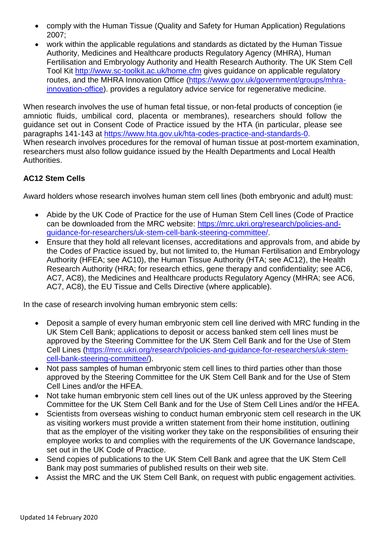- comply with the Human Tissue (Quality and Safety for Human Application) Regulations 2007;
- work within the applicable regulations and standards as dictated by the Human Tissue Authority, Medicines and Healthcare products Regulatory Agency (MHRA), Human Fertilisation and Embryology Authority and Health Research Authority. The UK Stem Cell Tool Kit<http://www.sc-toolkit.ac.uk/home.cfm> gives guidance on applicable regulatory routes, and the MHRA Innovation Office [\(https://www.gov.uk/government/groups/mhra](https://www.gov.uk/government/groups/mhra-innovation-office)[innovation-office\)](https://www.gov.uk/government/groups/mhra-innovation-office). provides a regulatory advice service for regenerative medicine.

When research involves the use of human fetal tissue, or non-fetal products of conception (ie amniotic fluids, umbilical cord, placenta or membranes), researchers should follow the guidance set out in Consent Code of Practice issued by the HTA (in [particular, please see](http://www.hta.gov.uk/hta-codes-practice-and-standards-0))  [paragraphs 141-143 at](http://www.hta.gov.uk/hta-codes-practice-and-standards-0)) [https://www.hta.gov.uk/hta-codes-practice-and-standards-0.](https://www.hta.gov.uk/hta-codes-practice-and-standards-0) When research involves procedures for the removal of human tissue at post-mortem examination, researchers must also follow guidance issued by the Health Departments and Local Health Authorities.

## **AC12 Stem Cells**

Award holders whose research involves human stem cell lines (both embryonic and adult) must:

- Abide by the UK Code of Practice for the use of Human Stem Cell lines (Code of Practice can be downloaded from the MRC website: [https://mrc.ukri.org/research/policies-and](https://mrc.ukri.org/research/policies-and-guidance-for-researchers/uk-stem-cell-bank-steering-committee/)[guidance-for-researchers/uk-stem-cell-bank-steering-committee/.](https://mrc.ukri.org/research/policies-and-guidance-for-researchers/uk-stem-cell-bank-steering-committee/)
- Ensure that they hold all relevant licenses, accreditations and approvals from, and abide by the Codes of Practice issued by, but not limited to, the Human Fertilisation and Embryology Authority (HFEA; see AC10), the Human Tissue Authority (HTA; see AC12), the Health Research Authority (HRA; for research ethics, gene therapy and confidentiality; see AC6, AC7, AC8), the Medicines and Healthcare products Regulatory Agency (MHRA; see AC6, AC7, AC8), the EU Tissue and Cells Directive (where applicable).

In the case of research involving human embryonic stem cells:

- Deposit a sample of every human embryonic stem cell line derived with MRC funding in the UK Stem Cell Bank; applications to deposit or access banked stem cell lines must be approved by the Steering Committee for the UK Stem Cell Bank and for the Use of Stem Cell Lines [\(https://mrc.ukri.org/research/policies-and-guidance-for-researchers/uk-stem](https://mrc.ukri.org/research/policies-and-guidance-for-researchers/uk-stem-cell-bank-steering-committee/)[cell-bank-steering-committee/\)](https://mrc.ukri.org/research/policies-and-guidance-for-researchers/uk-stem-cell-bank-steering-committee/).
- Not pass samples of human embryonic stem cell lines to third parties other than those approved by the Steering Committee for the UK Stem Cell Bank and for the Use of Stem Cell Lines and/or the HFEA.
- Not take human embryonic stem cell lines out of the UK unless approved by the Steering Committee for the UK Stem Cell Bank and for the Use of Stem Cell Lines and/or the HFEA.
- Scientists from overseas wishing to conduct human embryonic stem cell research in the UK as visiting workers must provide a written statement from their home institution, outlining that as the employer of the visiting worker they take on the responsibilities of ensuring their employee works to and complies with the requirements of the UK Governance landscape, set out in the UK Code of Practice.
- Send copies of publications to the UK Stem Cell Bank and agree that the UK Stem Cell Bank may post summaries of published results on their web site.
- Assist the MRC and the UK Stem Cell Bank, on request with public engagement activities.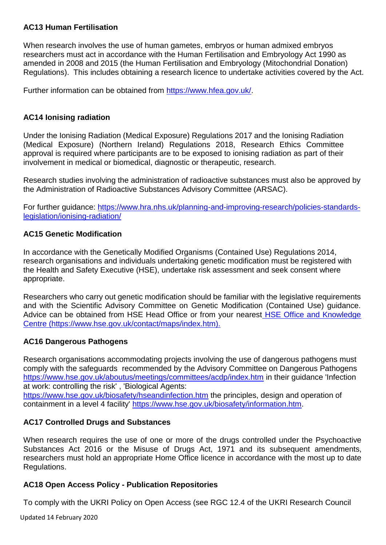### **AC13 Human Fertilisation**

When research involves the use of human gametes, embryos or human admixed embryos researchers must act in accordance with the Human Fertilisation and Embryology Act 1990 as amended in 2008 and 2015 (the Human Fertilisation and Embryology (Mitochondrial Donation) Regulations). This includes obtaining a research licence to undertake activities covered by the Act.

Further information can be obtained from [https://www.hfea.gov.uk/.](https://www.hfea.gov.uk/)

### **AC14 Ionising radiation**

Under the Ionising Radiation (Medical Exposure) Regulations 2017 and the Ionising Radiation (Medical Exposure) (Northern Ireland) Regulations 2018, Research Ethics Committee approval is required where participants are to be exposed to ionising radiation as part of their involvement in medical or biomedical, diagnostic or therapeutic, research.

Research studies involving the administration of radioactive substances must also be approved by the Administration of Radioactive Substances Advisory Committee (ARSAC).

For further guidance: [https://www.hra.nhs.uk/planning-and-improving-research/policies-standards](https://www.hra.nhs.uk/planning-and-improving-research/policies-standards-legislation/ionising-radiation/)[legislation/ionising-radiation/](https://www.hra.nhs.uk/planning-and-improving-research/policies-standards-legislation/ionising-radiation/)

#### **AC15 Genetic Modification**

In accordance with the Genetically Modified Organisms (Contained Use) Regulations 2014, research organisations and individuals undertaking genetic modification must be registered with the Health and Safety Executive (HSE), undertake risk assessment and seek consent where appropriate.

Researchers who carry out genetic modification should be familiar with the legislative requirements and with the Scientific Advisory Committee on Genetic Modification (Contained Use) guidance. Advice can be obtained from HSE Head Office or from your nearest HSE Office and Knowledge [Centre \(https://www.hse.gov.uk/contact/maps/index.htm\).](file:///C:/Users/kcrook/AppData/Local/Microsoft/Windows/INetCache/Content.Outlook/ZIVE7M2I/HSE%20Office%20and%20Knowledge%20Centre%20(https:/www.hse.gov.uk/contact/maps/index.htm))

## **AC16 Dangerous Pathogens**

Research organisations accommodating projects involving the use of dangerous pathogens must comply with the safeguards recommended by the Advisory Committee on Dangerous Pathogens <https://www.hse.gov.uk/aboutus/meetings/committees/acdp/index.htm> in their guidance 'Infection at work: controlling the risk' , 'Biological Agents:

<https://www.hse.gov.uk/biosafety/hseandinfection.htm> the principles, design and operation of containment in a level 4 facility' [https://www.hse.gov.uk/biosafety/information.htm.](https://www.hse.gov.uk/biosafety/information.htm)

## **AC17 Controlled Drugs and Substances**

When research requires the use of one or more of the drugs controlled under the Psychoactive Substances Act 2016 or the Misuse of Drugs Act, 1971 and its subsequent amendments, researchers must hold an appropriate Home Office licence in accordance with the most up to date Regulations.

## **AC18 Open Access Policy - Publication Repositories**

To comply with the UKRI Policy on Open Access (see RGC 12.4 of the UKRI Research Council